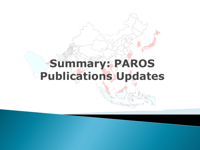## **Summary: PAROS Publications Updates**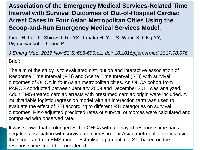## **Association of the Emergency Medical Services-Related Time Interval with Survival Outcomes of Out-of-Hospital Cardiac Arrest Cases in Four Asian Metropolitan Cities Using the Scoop-and-Run Emergency Medical Services Model.**

Kim TH, Lee K, Shin SD, Ro YS, Tanaka H, Yap S, Wong KD, Ng YY, Piyasuwankul T, Leong B.

*J Emerg Med. 2017 Nov;53(5):688-696.e1. doi: 10.1016/j.jemermed.2017.08.076.*

Brief:

The aim of the study is to evaluated distribution and interactive association of Response Time Interval (RTI) and Scene Time Interval (STI) with survival outcomes of OHCA in four Asian metropolitan cities. An OHCA cohort from PAROS conducted between January 2009 and December 2011 was analyzed. Adult EMS-treated cardiac arrests with presumed cardiac origin were included. A multivariable logistic regression model with an interaction term was used to evaluate the effect of STI according to different RTI categories on survival outcomes. Risk-adjusted predicted rates of survival outcomes were calculated and compared with observed rate.

It was shown that prolonged STI in OHCA with a delayed response time had a negative association with survival outcomes in four Asian metropolitan cities using the scoop-and-run EMS model. Establishing an optimal STI based on the response time could be considered.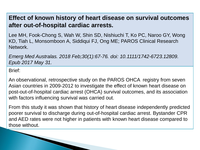## **Effect of known history of heart disease on survival outcomes after out-of-hospital cardiac arrests.**

Lee MH, Fook-Chong S, Wah W, Shin SD, Nishiuchi T, Ko PC, Naroo GY, Wong KD, Tiah L, Monsomboon A, Siddiqui FJ, Ong ME; PAROS Clinical Research Network.

*Emerg Med Australas. 2018 Feb;30(1):67-76. doi: 10.1111/1742-6723.12809. Epub 2017 May 31.*

Brief:

An observational, retrospective study on the PAROS OHCA registry from seven Asian countries in 2009-2012 to investigate the effect of known heart disease on post-out-of-hospital cardiac arrest (OHCA) survival outcomes, and its association with factors influencing survival was carried out.

From this study it was shown that history of heart disease independently predicted poorer survival to discharge during out-of-hospital cardiac arrest. Bystander CPR and AED rates were not higher in patients with known heart disease compared to those without.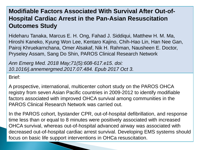## **Modifiable Factors Associated With Survival After Out-of-Hospital Cardiac Arrest in the Pan-Asian Resuscitation Outcomes Study**

Hideharu Tanaka, Marcus E. H. Ong, Fahad J. Siddiqui, Matthew H. M. Ma, Hiroshi Kaneko, Kyung Won Lee, Kentaro Kajino, Chih-Hao Lin, Han Nee Gan, Pairoj Khruekarnchana, Omer Alsakaf, Nik H. Rahman, Nausheen E. Doctor, Pryseley Assam, Sang Do Shin, PAROS Clinical Research Network

*Ann Emerg Med. 2018 May;71(5):608-617.e15. doi: 10.1016/j.annemergmed.2017.07.484. Epub 2017 Oct 3.*

Brief:

A prospective, international, multicenter cohort study on the PAROS OHCA registry from seven Asian Pacific countries in 2009-2012 to identify modifiable factors associated with improved OHCA survival among communities in the PAROS Clinical Research Network was carried out.

In the PAROS cohort, bystander CPR, out-of-hospital defibrillation, and response time less than or equal to 8 minutes were positively associated with increased OHCA survival, whereas out-of-hospital advanced airway was associated with decreased out-of-hospital cardiac arrest survival. Developing EMS systems should focus on basic life support interventions in OHCa resuscitation.